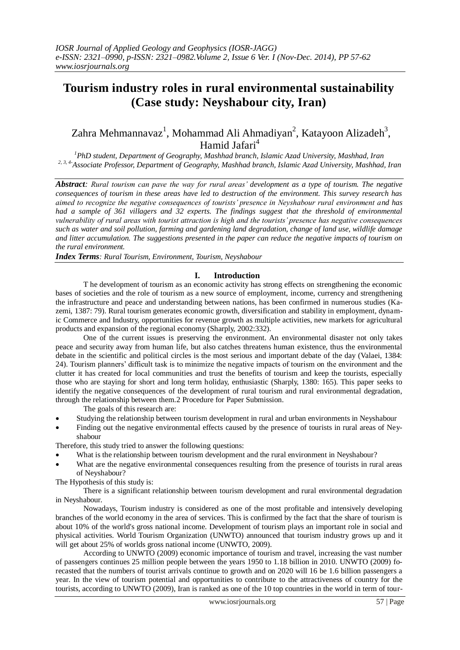# **Tourism industry roles in rural environmental sustainability (Case study: Neyshabour city, Iran)**

## Zahra Mehmannavaz<sup>1</sup>, Mohammad Ali Ahmadiyan<sup>2</sup>, Katayoon Alizadeh<sup>3</sup>, Hamid Jafari<sup>4</sup>

*<sup>1</sup>PhD student, Department of Geography, Mashhad branch, Islamic Azad University, Mashhad, Iran 2, 3, 4-Associate Professor, Department of Geography, Mashhad branch, Islamic Azad University, Mashhad, Iran*

*Abstract: Rural tourism can pave the way for rural areas' development as a type of tourism. The negative consequences of tourism in these areas have led to destruction of the environment. This survey research has aimed to recognize the negative consequences of tourists' presence in Neyshabour rural environment and has had a sample of 361 villagers and 32 experts. The findings suggest that the threshold of environmental vulnerability of rural areas with tourist attraction is high and the tourists' presence has negative consequences such as water and soil pollution, farming and gardening land degradation, change of land use, wildlife damage and litter accumulation. The suggestions presented in the paper can reduce the negative impacts of tourism on the rural environment.*

*Index Terms: Rural Tourism, Environment, Tourism, Neyshabour*

### **I. Introduction**

T he development of tourism as an economic activity has strong effects on strengthening the economic bases of societies and the role of tourism as a new source of employment, income, currency and strengthening the infrastructure and peace and understanding between nations, has been confirmed in numerous studies (Kazemi, 1387: 79). Rural tourism generates economic growth, diversification and stability in employment, dynamic Commerce and Industry, opportunities for revenue growth as multiple activities, new markets for agricultural products and expansion of the regional economy (Sharply, 2002:332).

One of the current issues is preserving the environment. An environmental disaster not only takes peace and security away from human life, but also catches threatens human existence, thus the environmental debate in the scientific and political circles is the most serious and important debate of the day (Valaei, 1384: 24). Tourism planners' difficult task is to minimize the negative impacts of tourism on the environment and the clutter it has created for local communities and trust the benefits of tourism and keep the tourists, especially those who are staying for short and long term holiday, enthusiastic (Sharply, 1380: 165). This paper seeks to identify the negative consequences of the development of rural tourism and rural environmental degradation, through the relationship between them.2 Procedure for Paper Submission.

The goals of this research are:

- Studying the relationship between tourism development in rural and urban environments in Neyshabour
- Finding out the negative environmental effects caused by the presence of tourists in rural areas of Neyshabour

Therefore, this study tried to answer the following questions:

- What is the relationship between tourism development and the rural environment in Neyshabour?
- What are the negative environmental consequences resulting from the presence of tourists in rural areas of Neyshabour?

The Hypothesis of this study is:

There is a significant relationship between tourism development and rural environmental degradation in Neyshabour.

Nowadays, Tourism industry is considered as one of the most profitable and intensively developing branches of the world economy in the area of services. This is confirmed by the fact that the share of tourism is about 10% of the world's gross national income. Development of tourism plays an important role in social and physical activities. World Tourism Organization (UNWTO) announced that tourism industry grows up and it will get about 25% of worlds gross national income (UNWTO, 2009).

According to UNWTO (2009) economic importance of tourism and travel, increasing the vast number of passengers continues 25 million people between the years 1950 to 1.18 billion in 2010. UNWTO (2009) forecasted that the numbers of tourist arrivals continue to growth and on 2020 will 16 be 1.6 billion passengers a year. In the view of tourism potential and opportunities to contribute to the attractiveness of country for the tourists, according to UNWTO (2009), Iran is ranked as one of the 10 top countries in the world in term of tour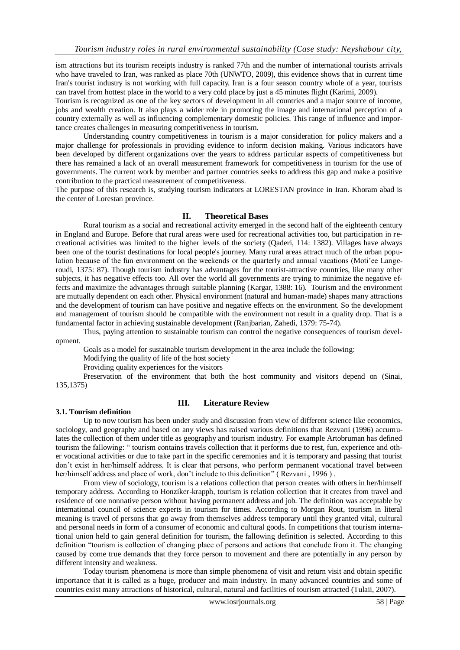ism attractions but its tourism receipts industry is ranked 77th and the number of international tourists arrivals who have traveled to Iran, was ranked as place 70th (UNWTO, 2009), this evidence shows that in current time Iran's tourist industry is not working with full capacity. Iran is a four season country whole of a year, tourists can travel from hottest place in the world to a very cold place by just a 45 minutes flight (Karimi, 2009).

Tourism is recognized as one of the key sectors of development in all countries and a major source of income, jobs and wealth creation. It also plays a wider role in promoting the image and international perception of a country externally as well as influencing complementary domestic policies. This range of influence and importance creates challenges in measuring competitiveness in tourism.

Understanding country competitiveness in tourism is a major consideration for policy makers and a major challenge for professionals in providing evidence to inform decision making. Various indicators have been developed by different organizations over the years to address particular aspects of competitiveness but there has remained a lack of an overall measurement framework for competitiveness in tourism for the use of governments. The current work by member and partner countries seeks to address this gap and make a positive contribution to the practical measurement of competitiveness.

The purpose of this research is, studying tourism indicators at LORESTAN province in Iran. Khoram abad is the center of Lorestan province.

#### **II. Theoretical Bases**

Rural tourism as a social and recreational activity emerged in the second half of the eighteenth century in England and Europe. Before that rural areas were used for recreational activities too, but participation in recreational activities was limited to the higher levels of the society (Qaderi, 114: 1382). Villages have always been one of the tourist destinations for local people's journey. Many rural areas attract much of the urban population because of the fun environment on the weekends or the quarterly and annual vacations (Moti'ee Langeroudi, 1375: 87). Though tourism industry has advantages for the tourist-attractive countries, like many other subjects, it has negative effects too. All over the world all governments are trying to minimize the negative effects and maximize the advantages through suitable planning (Kargar, 1388: 16). Tourism and the environment are mutually dependent on each other. Physical environment (natural and human-made) shapes many attractions and the development of tourism can have positive and negative effects on the environment. So the development and management of tourism should be compatible with the environment not result in a quality drop. That is a fundamental factor in achieving sustainable development (Ranjbarian, Zahedi, 1379: 75-74).

Thus, paying attention to sustainable tourism can control the negative consequences of tourism development.

Goals as a model for sustainable tourism development in the area include the following:

Modifying the quality of life of the host society

Providing quality experiences for the visitors

Preservation of the environment that both the host community and visitors depend on (Sinai, 135,1375)

#### **3.1. Tourism definition**

## **III. Literature Review**

Up to now tourism has been under study and discussion from view of different science like economics, sociology, and geography and based on any views has raised various definitions that Rezvani (1996) accumulates the collection of them under title as geography and tourism industry. For example Artobruman has defined tourism the fallowing: " tourism contains travels collection that it performs due to rest, fun, experience and other vocational activities or due to take part in the specific ceremonies and it is temporary and passing that tourist don't exist in her/himself address. It is clear that persons, who perform permanent vocational travel between her/himself address and place of work, don't include to this definition" (Rezvani, 1996).

From view of sociology, tourism is a relations collection that person creates with others in her/himself temporary address. According to Honziker-krapph, tourism is relation collection that it creates from travel and residence of one nonnative person without having permanent address and job. The definition was acceptable by international council of science experts in tourism for times. According to Morgan Rout, tourism in literal meaning is travel of persons that go away from themselves address temporary until they granted vital, cultural and personal needs in form of a consumer of economic and cultural goods. In competitions that tourism international union held to gain general definition for tourism, the fallowing definition is selected. According to this definition "tourism is collection of changing place of persons and actions that conclude from it. The changing caused by come true demands that they force person to movement and there are potentially in any person by different intensity and weakness.

Today tourism phenomena is more than simple phenomena of visit and return visit and obtain specific importance that it is called as a huge, producer and main industry. In many advanced countries and some of countries exist many attractions of historical, cultural, natural and facilities of tourism attracted (Tulaii, 2007).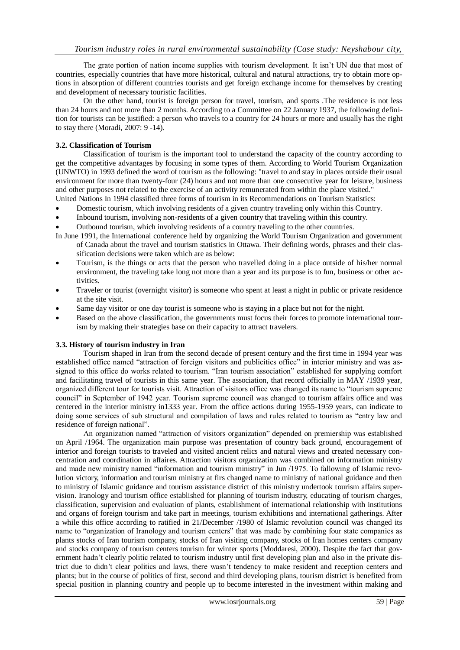The grate portion of nation income supplies with tourism development. It isn't UN due that most of countries, especially countries that have more historical, cultural and natural attractions, try to obtain more options in absorption of different countries tourists and get foreign exchange income for themselves by creating and development of necessary touristic facilities.

On the other hand, tourist is foreign person for travel, tourism, and sports .The residence is not less than 24 hours and not more than 2 months. According to a Committee on 22 January 1937, the following definition for tourists can be justified: a person who travels to a country for 24 hours or more and usually has the right to stay there (Moradi, 2007: 9 -14).

#### **3.2. Classification of Tourism**

Classification of tourism is the important tool to understand the capacity of the country according to get the competitive advantages by focusing in some types of them. According to World Tourism Organization (UNWTO) in 1993 defined the word of tourism as the following: "travel to and stay in places outside their usual environment for more than twenty-four (24) hours and not more than one consecutive year for leisure, business and other purposes not related to the exercise of an activity remunerated from within the place visited."

United Nations In 1994 classified three forms of tourism in its Recommendations on Tourism Statistics:

- Domestic tourism, which involving residents of a given country traveling only within this Country.
- Inbound tourism, involving non-residents of a given country that traveling within this country.
- Outbound tourism, which involving residents of a country traveling to the other countries.
- In June 1991, the International conference held by organizing the World Tourism Organization and government of Canada about the travel and tourism statistics in Ottawa. Their defining words, phrases and their classification decisions were taken which are as below:
- Tourism, is the things or acts that the person who travelled doing in a place outside of his/her normal environment, the traveling take long not more than a year and its purpose is to fun, business or other activities.
- Traveler or tourist (overnight visitor) is someone who spent at least a night in public or private residence at the site visit.
- Same day visitor or one day tourist is someone who is staying in a place but not for the night.
- Based on the above classification, the governments must focus their forces to promote international tourism by making their strategies base on their capacity to attract travelers.

#### **3.3. History of tourism industry in Iran**

Tourism shaped in Iran from the second decade of present century and the first time in 1994 year was established office named "attraction of foreign visitors and publicities office" in interior ministry and was assigned to this office do works related to tourism. "Iran tourism association" established for supplying comfort and facilitating travel of tourists in this same year. The association, that record officially in MAY /1939 year, organized different tour for tourists visit. Attraction of visitors office was changed its name to "tourism supreme council" in September of 1942 year. Tourism supreme council was changed to tourism affairs office and was centered in the interior ministry in1333 year. From the office actions during 1955-1959 years, can indicate to doing some services of sub structural and compilation of laws and rules related to tourism as "entry law and residence of foreign national".

An organization named "attraction of visitors organization" depended on premiership was established on April /1964. The organization main purpose was presentation of country back ground, encouragement of interior and foreign tourists to traveled and visited ancient relics and natural views and created necessary concentration and coordination in affaires. Attraction visitors organization was combined on information ministry and made new ministry named "information and tourism ministry" in Jun /1975. To fallowing of Islamic revolution victory, information and tourism ministry at firs changed name to ministry of national guidance and then to ministry of Islamic guidance and tourism assistance district of this ministry undertook tourism affairs supervision. Iranology and tourism office established for planning of tourism industry, educating of tourism charges, classification, supervision and evaluation of plants, establishment of international relationship with institutions and organs of foreign tourism and take part in meetings, tourism exhibitions and international gatherings. After a while this office according to ratified in 21/December /1980 of Islamic revolution council was changed its name to "organization of Iranology and tourism centers" that was made by combining four state companies as plants stocks of Iran tourism company, stocks of Iran visiting company, stocks of Iran homes centers company and stocks company of tourism centers tourism for winter sports (Moddaresi, 2000). Despite the fact that government hadn't clearly politic related to tourism industry until first developing plan and also in the private district due to didn't clear politics and laws, there wasn't tendency to make resident and reception centers and plants; but in the course of politics of first, second and third developing plans, tourism district is benefited from special position in planning country and people up to become interested in the investment within making and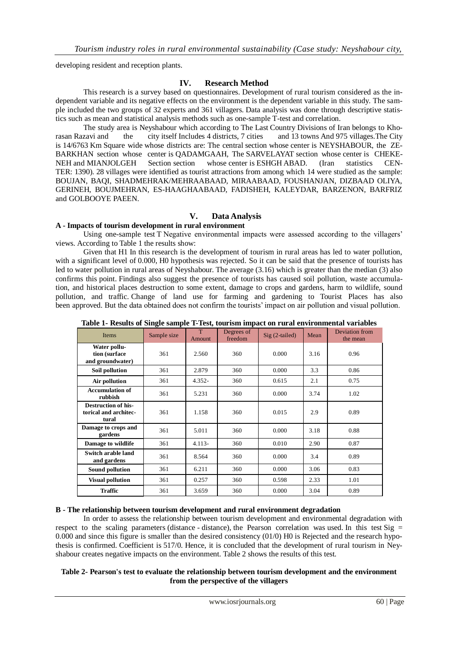developing resident and reception plants.

## **IV. Research Method**

This research is a survey based on questionnaires. Development of rural tourism considered as the independent variable and its negative effects on the environment is the dependent variable in this study. The sample included the two groups of 32 experts and 361 villagers. Data analysis was done through descriptive statistics such as mean and statistical analysis methods such as one-sample T-test and correlation.

The study area is Neyshabour which according to The Last Country Divisions of Iran belongs to Khorasan Razavi and the city itself Includes 4 districts, 7 cities and 13 towns And 975 villages.The City is 14/6763 Km Square wide whose districts are: The central section whose center is NEYSHABOUR, the ZE-BARKHAN section whose center is QADAMGAAH, The SARVELAYAT section whose center is CHEKE-NEH and MIANJOLGEH Section section whose center is ESHGH ABAD. (Iran statistics CEN-TER: 1390). 28 villages were identified as tourist attractions from among which 14 were studied as the sample: BOUJAN, BAQI, SHADMEHRAK/MEHRAABAAD, MIRAABAAD, FOUSHANJAN, DIZBAAD OLIYA, GERINEH, BOUJMEHRAN, ES-HAAGHAABAAD, FADISHEH, KALEYDAR, BARZENON, BARFRIZ and GOLBOOYE PAEEN.

## **V. Data Analysis**

#### **A - Impacts of tourism development in rural environment**

Using one-sample test T Negative environmental impacts were assessed according to the villagers' views. According to Table 1 the results show:

Given that H1 In this research is the development of tourism in rural areas has led to water pollution, with a significant level of 0.000, H0 hypothesis was rejected. So it can be said that the presence of tourists has led to water pollution in rural areas of Neyshabour. The average (3.16) which is greater than the median (3) also confirms this point. Findings also suggest the presence of tourists has caused soil pollution, waste accumulation, and historical places destruction to some extent, damage to crops and gardens, harm to wildlife, sound pollution, and traffic. Change of land use for farming and gardening to Tourist Places has also been approved. But the data obtained does not confirm the tourists' impact on air pollution and visual pollution.

| <b>Items</b>                                                 | Sample size | T<br>Amount | Degrees of<br>freedom | $Sig(2-tailed)$ | Mean | Deviation from<br>the mean |
|--------------------------------------------------------------|-------------|-------------|-----------------------|-----------------|------|----------------------------|
| Water pollu-<br>tion (surface<br>and groundwater)            | 361         | 2.560       | 360                   | 0.000           | 3.16 | 0.96                       |
| Soil pollution                                               | 361         | 2.879       | 360                   | 0.000           | 3.3  | 0.86                       |
| Air pollution                                                | 361         | $4.352 -$   | 360                   | 0.615           | 2.1  | 0.75                       |
| <b>Accumulation of</b><br>rubbish                            | 361         | 5.231       | 360                   | 0.000           | 3.74 | 1.02                       |
| <b>Destruction of his-</b><br>torical and architec-<br>tural | 361         | 1.158       | 360                   | 0.015           | 2.9  | 0.89                       |
| Damage to crops and<br>gardens                               | 361         | 5.011       | 360                   | 0.000           | 3.18 | 0.88                       |
| Damage to wildlife                                           | 361         | $4.113-$    | 360                   | 0.010           | 2.90 | 0.87                       |
| Switch arable land<br>and gardens                            | 361         | 8.564       | 360                   | 0.000           | 3.4  | 0.89                       |
| <b>Sound pollution</b>                                       | 361         | 6.211       | 360                   | 0.000           | 3.06 | 0.83                       |
| <b>Visual pollution</b>                                      | 361         | 0.257       | 360                   | 0.598           | 2.33 | 1.01                       |
| <b>Traffic</b>                                               | 361         | 3.659       | 360                   | 0.000           | 3.04 | 0.89                       |

**Table 1- Results of Single sample T-Test, tourism impact on rural environmental variables**

### **B - The relationship between tourism development and rural environment degradation**

In order to assess the relationship between tourism development and environmental degradation with respect to the scaling parameters (distance - distance), the Pearson correlation was used. In this test Sig = 0.000 and since this figure is smaller than the desired consistency (01/0) H0 is Rejected and the research hypothesis is confirmed. Coefficient is 517/0. Hence, it is concluded that the development of rural tourism in Neyshabour creates negative impacts on the environment. Table 2 shows the results of this test.

#### **Table 2- Pearson's test to evaluate the relationship between tourism development and the environment from the perspective of the villagers**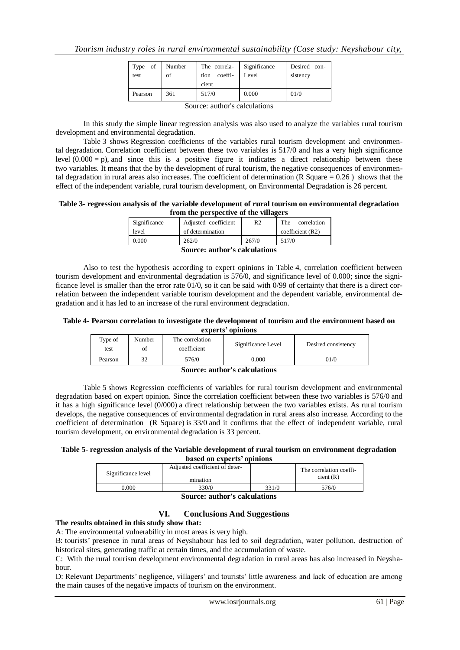| Type of  <br>test             | Number<br>of | The correla-<br>coeffi-<br>tion<br>cient | Significance<br>Level | Desired con-<br>sistency |
|-------------------------------|--------------|------------------------------------------|-----------------------|--------------------------|
| Pearson                       | 361          | 517/0                                    | 0.000                 | 01/0                     |
| Source: author's calculations |              |                                          |                       |                          |

In this study the simple linear regression analysis was also used to analyze the variables rural tourism development and environmental degradation.

Table 3 shows Regression coefficients of the variables rural tourism development and environmental degradation. Correlation coefficient between these two variables is 517/0 and has a very high significance level  $(0.000 = p)$ , and since this is a positive figure it indicates a direct relationship between these two variables. It means that the by the development of rural tourism, the negative consequences of environmental degradation in rural areas also increases. The coefficient of determination (R Square  $= 0.26$ ) shows that the effect of the independent variable, rural tourism development, on Environmental Degradation is 26 percent.

#### **Table 3- regression analysis of the variable development of rural tourism on environmental degradation from the perspective of the villagers**

| Significance | Adjusted coefficient | R2    | The<br>correlation |
|--------------|----------------------|-------|--------------------|
| level        | of determination     |       | coefficient (R2)   |
| 0.000        | 262/0                | 267/0 | 517/0              |
|              |                      |       |                    |

**Source: author's calculations**

Also to test the hypothesis according to expert opinions in Table 4, correlation coefficient between tourism development and environmental degradation is 576/0, and significance level of 0.000; since the significance level is smaller than the error rate  $01/0$ , so it can be said with  $0/99$  of certainty that there is a direct correlation between the independent variable tourism development and the dependent variable, environmental degradation and it has led to an increase of the rural environment degradation.

**Table 4- Pearson correlation to investigate the development of tourism and the environment based on experts' opinions**

| Type of<br>test | Number<br>οf | The correlation<br>coefficient | Significance Level | Desired consistency |
|-----------------|--------------|--------------------------------|--------------------|---------------------|
| Pearson         | 32           | 576/0                          | 0.000              | 01/0                |

#### **Source: author's calculations**

Table 5 shows Regression coefficients of variables for rural tourism development and environmental degradation based on expert opinion. Since the correlation coefficient between these two variables is 576/0 and it has a high significance level (0/000) a direct relationship between the two variables exists. As rural tourism develops, the negative consequences of environmental degradation in rural areas also increase. According to the coefficient of determination (R Square) is 33/0 and it confirms that the effect of independent variable, rural tourism development, on environmental degradation is 33 percent.

#### **Table 5- regression analysis of the Variable development of rural tourism on environment degradation b**

|  | based on experts' opini |  |
|--|-------------------------|--|
|  |                         |  |

| Significance level | Adjusted coefficient of deter-<br>mination |       | The correlation coeffi-<br>cient(R) |
|--------------------|--------------------------------------------|-------|-------------------------------------|
| 0.000              | 330/0                                      | 331/0 | 576/0                               |

## **Source: author's calculations**

## **VI. Conclusions And Suggestions**

#### **The results obtained in this study show that:**

A: The environmental vulnerability in most areas is very high.

B: tourists' presence in rural areas of Neyshabour has led to soil degradation, water pollution, destruction of historical sites, generating traffic at certain times, and the accumulation of waste.

C: With the rural tourism development environmental degradation in rural areas has also increased in Neyshabour.

D: Relevant Departments' negligence, villagers' and tourists' little awareness and lack of education are among the main causes of the negative impacts of tourism on the environment.